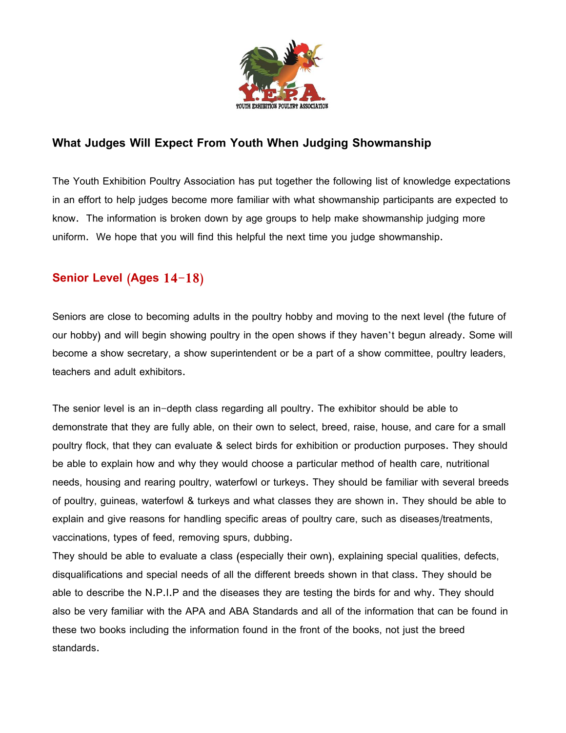

## **What Judges Will Expect From Youth When Judging Showmanship**

The Youth Exhibition Poultry Association has put together the following list of knowledge expectations in an effort to help judges become more familiar with what showmanship participants are expected to know. The information is broken down by age groups to help make showmanship judging more uniform. We hope that you will find this helpful the next time you judge showmanship.

## **Senior Level (Ages 14-18)**

Seniors are close to becoming adults in the poultry hobby and moving to the next level (the future of our hobby) and will begin showing poultry in the open shows if they haven't begun already. Some will become a show secretary, a show superintendent or be a part of a show committee, poultry leaders, teachers and adult exhibitors.

The senior level is an in-depth class regarding all poultry. The exhibitor should be able to demonstrate that they are fully able, on their own to select, breed, raise, house, and care for a small poultry flock, that they can evaluate & select birds for exhibition or production purposes. They should be able to explain how and why they would choose a particular method of health care, nutritional needs, housing and rearing poultry, waterfowl or turkeys. They should be familiar with several breeds of poultry, guineas, waterfowl & turkeys and what classes they are shown in. They should be able to explain and give reasons for handling specific areas of poultry care, such as diseases/treatments, vaccinations, types of feed, removing spurs, dubbing.

They should be able to evaluate a class (especially their own), explaining special qualities, defects, disqualifications and special needs of all the different breeds shown in that class. They should be able to describe the N.P.I.P and the diseases they are testing the birds for and why. They should also be very familiar with the APA and ABA Standards and all of the information that can be found in these two books including the information found in the front of the books, not just the breed standards.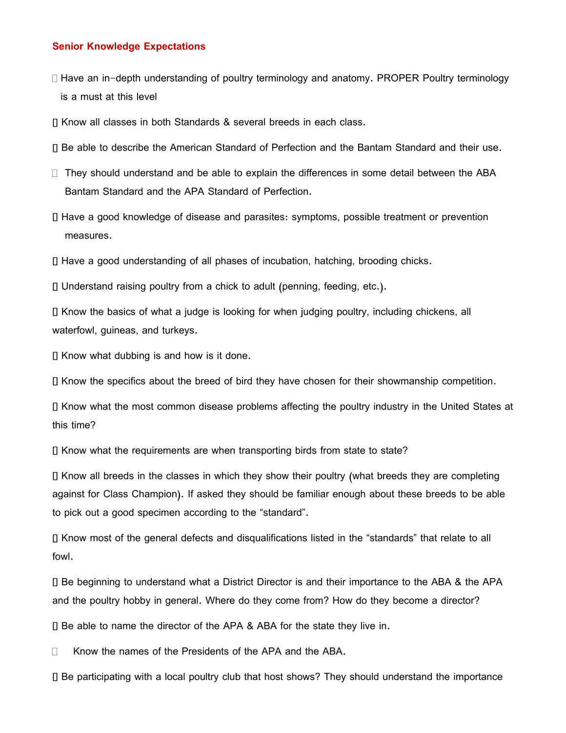## **Senior Knowledge Expectations**

- $\Box$  Have an in-depth understanding of poultry terminology and anatomy. PROPER Poultry terminology is a must at this level
- Know all classes in both Standards & several breeds in each class.
- Be able to describe the American Standard of Perfection and the Bantam Standard and their use.
- $\Box$  They should understand and be able to explain the differences in some detail between the ABA Bantam Standard and the APA Standard of Perfection.
- Have a good knowledge of disease and parasites: symptoms, possible treatment or prevention measures.
- Have a good understanding of all phases of incubation, hatching, brooding chicks.

Understand raising poultry from a chick to adult (penning, feeding, etc.).

 $\Box$  Know the basics of what a judge is looking for when judging poultry, including chickens, all waterfowl, guineas, and turkeys.

 $\Box$  Know what dubbing is and how is it done.

 $\Box$  Know the specifics about the breed of bird they have chosen for their showmanship competition.

Know what the most common disease problems affecting the poultry industry in the United States at this time?

 $\Box$  Know what the requirements are when transporting birds from state to state?

 $\Box$  Know all breeds in the classes in which they show their poultry (what breeds they are completing against for Class Champion). If asked they should be familiar enough about these breeds to be able to pick out a good specimen according to the "standard".

Know most of the general defects and disqualifications listed in the "standards" that relate to all fowl.

Be beginning to understand what a District Director is and their importance to the ABA & the APA and the poultry hobby in general. Where do they come from? How do they become a director?

Be able to name the director of the APA & ABA for the state they live in.

□ Know the names of the Presidents of the APA and the ABA.

Be participating with a local poultry club that host shows? They should understand the importance